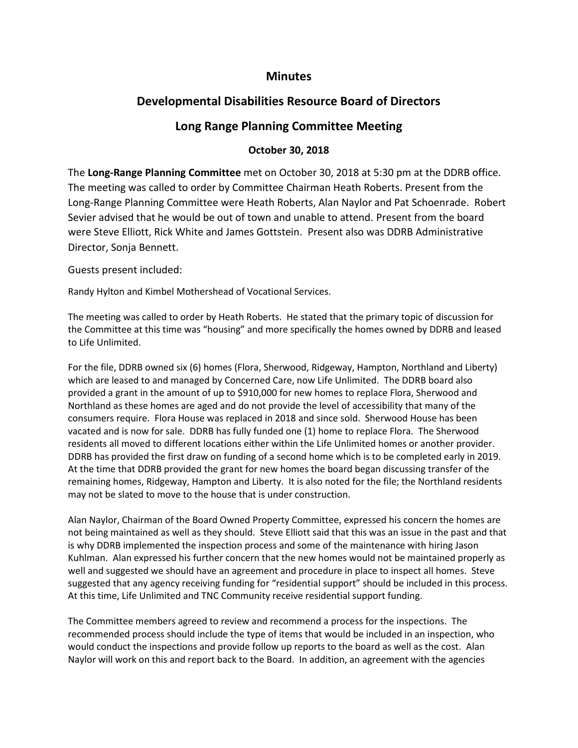## **Minutes**

## **Developmental Disabilities Resource Board of Directors**

## **Long Range Planning Committee Meeting**

## **October 30, 2018**

The **Long-Range Planning Committee** met on October 30, 2018 at 5:30 pm at the DDRB office. The meeting was called to order by Committee Chairman Heath Roberts. Present from the Long-Range Planning Committee were Heath Roberts, Alan Naylor and Pat Schoenrade. Robert Sevier advised that he would be out of town and unable to attend. Present from the board were Steve Elliott, Rick White and James Gottstein. Present also was DDRB Administrative Director, Sonja Bennett.

Guests present included:

Randy Hylton and Kimbel Mothershead of Vocational Services.

The meeting was called to order by Heath Roberts. He stated that the primary topic of discussion for the Committee at this time was "housing" and more specifically the homes owned by DDRB and leased to Life Unlimited.

For the file, DDRB owned six (6) homes (Flora, Sherwood, Ridgeway, Hampton, Northland and Liberty) which are leased to and managed by Concerned Care, now Life Unlimited. The DDRB board also provided a grant in the amount of up to \$910,000 for new homes to replace Flora, Sherwood and Northland as these homes are aged and do not provide the level of accessibility that many of the consumers require. Flora House was replaced in 2018 and since sold. Sherwood House has been vacated and is now for sale. DDRB has fully funded one (1) home to replace Flora. The Sherwood residents all moved to different locations either within the Life Unlimited homes or another provider. DDRB has provided the first draw on funding of a second home which is to be completed early in 2019. At the time that DDRB provided the grant for new homes the board began discussing transfer of the remaining homes, Ridgeway, Hampton and Liberty. It is also noted for the file; the Northland residents may not be slated to move to the house that is under construction.

Alan Naylor, Chairman of the Board Owned Property Committee, expressed his concern the homes are not being maintained as well as they should. Steve Elliott said that this was an issue in the past and that is why DDRB implemented the inspection process and some of the maintenance with hiring Jason Kuhlman. Alan expressed his further concern that the new homes would not be maintained properly as well and suggested we should have an agreement and procedure in place to inspect all homes. Steve suggested that any agency receiving funding for "residential support" should be included in this process. At this time, Life Unlimited and TNC Community receive residential support funding.

The Committee members agreed to review and recommend a process for the inspections. The recommended process should include the type of items that would be included in an inspection, who would conduct the inspections and provide follow up reports to the board as well as the cost. Alan Naylor will work on this and report back to the Board. In addition, an agreement with the agencies